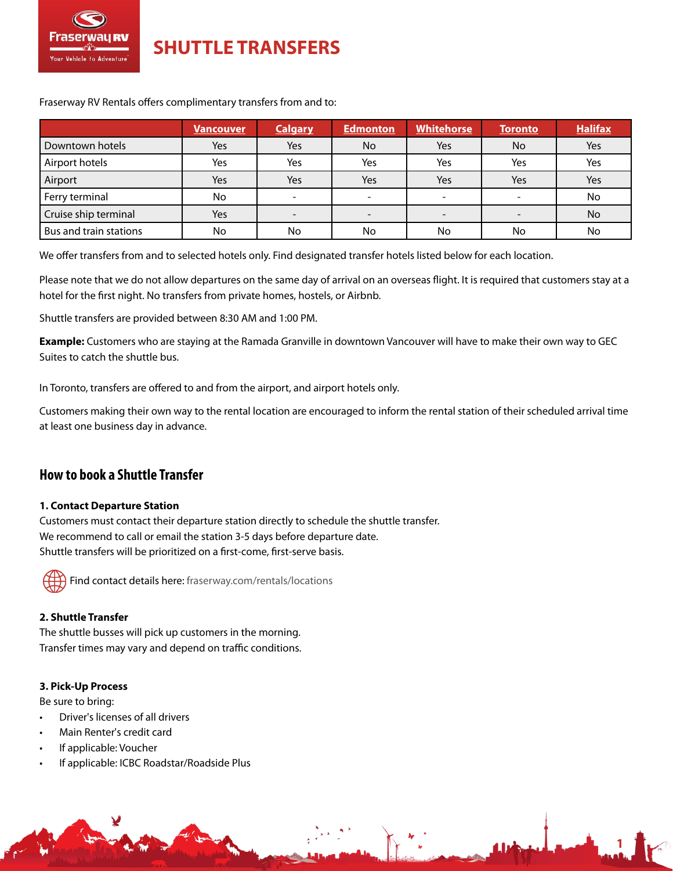

**SHUTTLE TRANSFERS**

Fraserway RV Rentals offers complimentary transfers from and to:

|                        | <b>Vancouver</b> | <b>Calgary</b> | Edmonton                 | <b>Whitehorse</b> | <b>Toronto</b> | <b>Halifax</b> |
|------------------------|------------------|----------------|--------------------------|-------------------|----------------|----------------|
| Downtown hotels        | Yes              | Yes            | No.                      | Yes               | No             | Yes            |
| Airport hotels         | Yes              | Yes            | Yes                      | Yes               | Yes            | Yes            |
| Airport                | Yes              | Yes            | Yes                      | Yes               | Yes            | Yes            |
| Ferry terminal         | No               |                | $\overline{\phantom{a}}$ |                   |                | No             |
| Cruise ship terminal   | Yes              |                | $\overline{\phantom{0}}$ |                   |                | No             |
| Bus and train stations | No               | No             | No                       | No                | No             | No             |

We offer transfers from and to selected hotels only. Find designated transfer hotels listed below for each location.

Please note that we do not allow departures on the same day of arrival on an overseas flight. It is required that customers stay at a hotel for the first night. No transfers from private homes, hostels, or Airbnb.

Shuttle transfers are provided between 8:30 AM and 1:00 PM.

**Example:** Customers who are staying at the Ramada Granville in downtown Vancouver will have to make their own way to GEC Suites to catch the shuttle bus.

In Toronto, transfers are offered to and from the airport, and airport hotels only.

Customers making their own way to the rental location are encouraged to inform the rental station of their scheduled arrival time at least one business day in advance.

**1**

# **How to book a Shuttle Transfer**

## **1. Contact Departure Station**

Customers must contact their departure station directly to schedule the shuttle transfer. We recommend to call or email the station 3-5 days before departure date. Shuttle transfers will be prioritized on a first-come, first-serve basis.

Find contact details here: [fraserway.com/rentals/locations](https://www.fraserway.com/rentals/locations)

## **2. Shuttle Transfer**

The shuttle busses will pick up customers in the morning. Transfer times may vary and depend on traffic conditions.

## **3. Pick-Up Process**

Be sure to bring:

- Driver's licenses of all drivers
- Main Renter's credit card
- If applicable: Voucher
- If applicable: ICBC Roadstar/Roadside Plus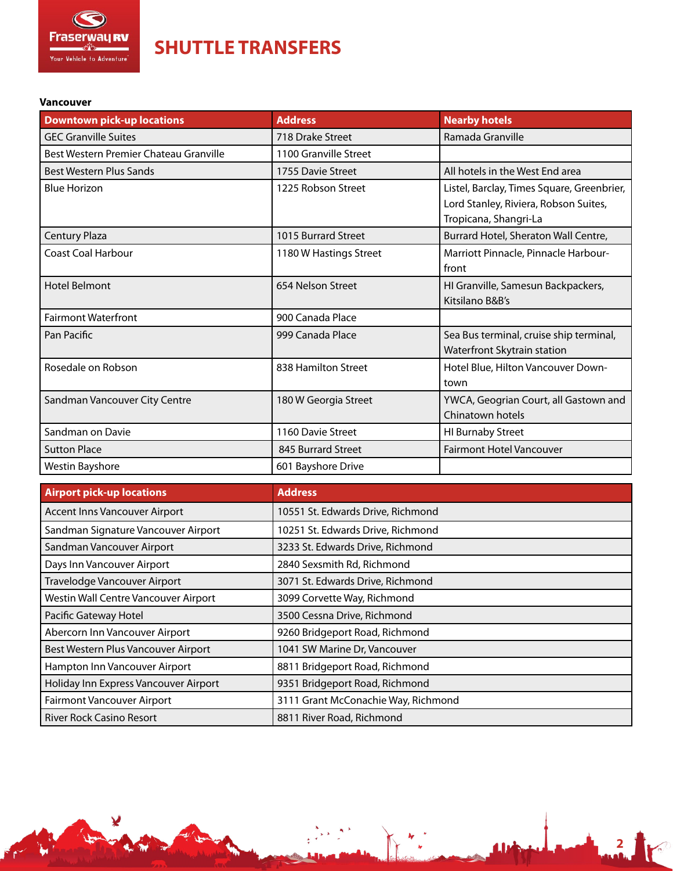<span id="page-1-0"></span>

¥

**SHUTTLE TRANSFERS**

#### **Vancouver**

| <b>Downtown pick-up locations</b>      | <b>Address</b>         | <b>Nearby hotels</b>                       |
|----------------------------------------|------------------------|--------------------------------------------|
| <b>GEC Granville Suites</b>            | 718 Drake Street       | Ramada Granville                           |
| Best Western Premier Chateau Granville | 1100 Granville Street  |                                            |
| <b>Best Western Plus Sands</b>         | 1755 Davie Street      | All hotels in the West End area            |
| <b>Blue Horizon</b>                    | 1225 Robson Street     | Listel, Barclay, Times Square, Greenbrier, |
|                                        |                        | Lord Stanley, Riviera, Robson Suites,      |
|                                        |                        | Tropicana, Shangri-La                      |
| <b>Century Plaza</b>                   | 1015 Burrard Street    | Burrard Hotel, Sheraton Wall Centre,       |
| <b>Coast Coal Harbour</b>              | 1180 W Hastings Street | Marriott Pinnacle, Pinnacle Harbour-       |
|                                        |                        | front                                      |
| <b>Hotel Belmont</b>                   | 654 Nelson Street      | HI Granville, Samesun Backpackers,         |
|                                        |                        | Kitsilano B&B's                            |
| <b>Fairmont Waterfront</b>             | 900 Canada Place       |                                            |
| Pan Pacific                            | 999 Canada Place       | Sea Bus terminal, cruise ship terminal,    |
|                                        |                        | Waterfront Skytrain station                |
| Rosedale on Robson                     | 838 Hamilton Street    | Hotel Blue, Hilton Vancouver Down-         |
|                                        |                        | town                                       |
| Sandman Vancouver City Centre          | 180 W Georgia Street   | YWCA, Geogrian Court, all Gastown and      |
|                                        |                        | Chinatown hotels                           |
| Sandman on Davie                       | 1160 Davie Street      | <b>HI Burnaby Street</b>                   |
| <b>Sutton Place</b>                    | 845 Burrard Street     | <b>Fairmont Hotel Vancouver</b>            |
| Westin Bayshore                        | 601 Bayshore Drive     |                                            |

| <b>Airport pick-up locations</b>      | <b>Address</b>                      |
|---------------------------------------|-------------------------------------|
| <b>Accent Inns Vancouver Airport</b>  | 10551 St. Edwards Drive, Richmond   |
| Sandman Signature Vancouver Airport   | 10251 St. Edwards Drive, Richmond   |
| Sandman Vancouver Airport             | 3233 St. Edwards Drive, Richmond    |
| Days Inn Vancouver Airport            | 2840 Sexsmith Rd, Richmond          |
| Travelodge Vancouver Airport          | 3071 St. Edwards Drive, Richmond    |
| Westin Wall Centre Vancouver Airport  | 3099 Corvette Way, Richmond         |
| Pacific Gateway Hotel                 | 3500 Cessna Drive, Richmond         |
| Abercorn Inn Vancouver Airport        | 9260 Bridgeport Road, Richmond      |
| Best Western Plus Vancouver Airport   | 1041 SW Marine Dr, Vancouver        |
| Hampton Inn Vancouver Airport         | 8811 Bridgeport Road, Richmond      |
| Holiday Inn Express Vancouver Airport | 9351 Bridgeport Road, Richmond      |
| <b>Fairmont Vancouver Airport</b>     | 3111 Grant McConachie Way, Richmond |
| <b>River Rock Casino Resort</b>       | 8811 River Road, Richmond           |

**2**

F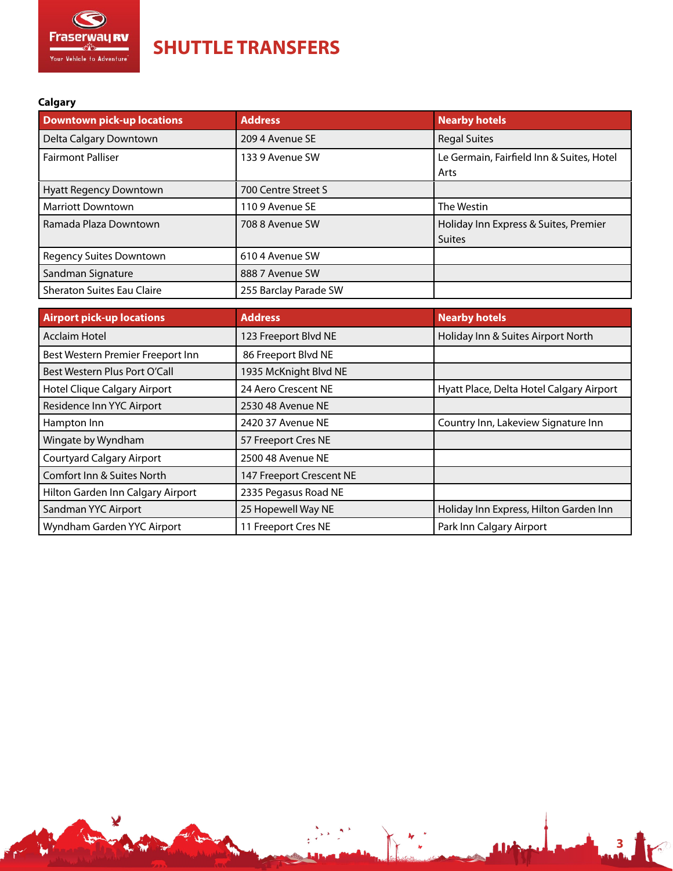<span id="page-2-0"></span>

¥

**SHUTTLE TRANSFERS**

# **Calgary**

| <b>Downtown pick-up locations</b> | <b>Address</b>        | <b>Nearby hotels</b>                                   |
|-----------------------------------|-----------------------|--------------------------------------------------------|
| Delta Calgary Downtown            | 209 4 Avenue SE       | <b>Regal Suites</b>                                    |
| <b>Fairmont Palliser</b>          | 133 9 Avenue SW       | Le Germain, Fairfield Inn & Suites, Hotel<br>Arts      |
| Hyatt Regency Downtown            | 700 Centre Street S   |                                                        |
| <b>Marriott Downtown</b>          | 1109 Avenue SE        | The Westin                                             |
| Ramada Plaza Downtown             | 708 8 Avenue SW       | Holiday Inn Express & Suites, Premier<br><b>Suites</b> |
| <b>Regency Suites Downtown</b>    | 610 4 Avenue SW       |                                                        |
| Sandman Signature                 | 888 7 Avenue SW       |                                                        |
| Sheraton Suites Eau Claire        | 255 Barclay Parade SW |                                                        |

| <b>Airport pick-up locations</b>  | <b>Address</b>           | <b>Nearby hotels</b>                     |
|-----------------------------------|--------------------------|------------------------------------------|
| <b>Acclaim Hotel</b>              | 123 Freeport Blvd NE     | Holiday Inn & Suites Airport North       |
| Best Western Premier Freeport Inn | 86 Freeport Blvd NE      |                                          |
| Best Western Plus Port O'Call     | 1935 McKnight Blvd NE    |                                          |
| Hotel Clique Calgary Airport      | 24 Aero Crescent NE      | Hyatt Place, Delta Hotel Calgary Airport |
| Residence Inn YYC Airport         | 2530 48 Avenue NE        |                                          |
| Hampton Inn                       | 2420 37 Avenue NE        | Country Inn, Lakeview Signature Inn      |
| Wingate by Wyndham                | 57 Freeport Cres NE      |                                          |
| <b>Courtyard Calgary Airport</b>  | 2500 48 Avenue NE        |                                          |
| Comfort Inn & Suites North        | 147 Freeport Crescent NE |                                          |
| Hilton Garden Inn Calgary Airport | 2335 Pegasus Road NE     |                                          |
| Sandman YYC Airport               | 25 Hopewell Way NE       | Holiday Inn Express, Hilton Garden Inn   |
| Wyndham Garden YYC Airport        | 11 Freeport Cres NE      | Park Inn Calgary Airport                 |

**3**

I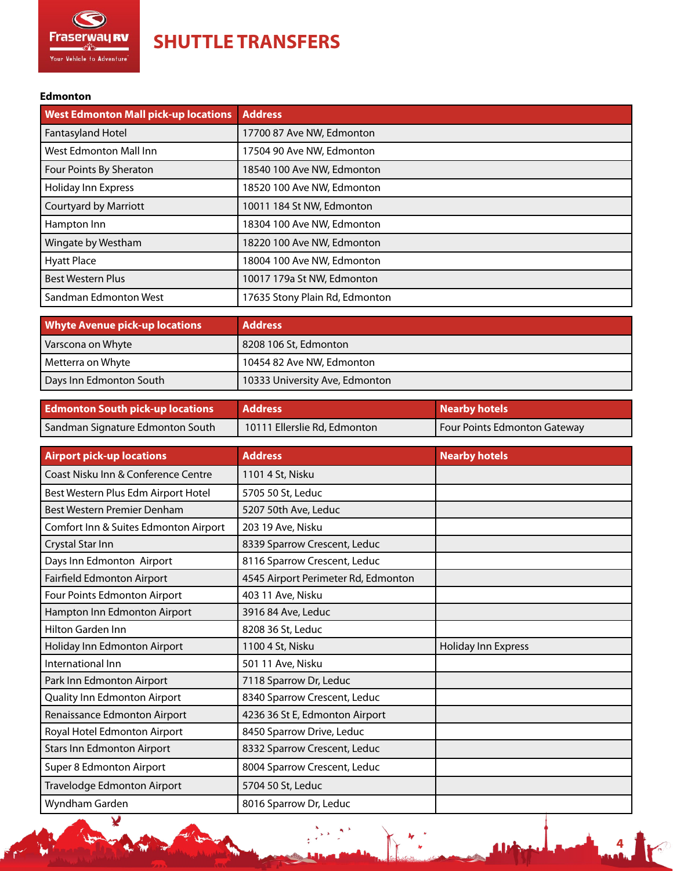<span id="page-3-0"></span>

¥

**SHUTTLE TRANSFERS**

### **Edmonton**

| <b>West Edmonton Mall pick-up locations</b> | <b>Address</b>                 |
|---------------------------------------------|--------------------------------|
| <b>Fantasyland Hotel</b>                    | 17700 87 Ave NW, Edmonton      |
| West Edmonton Mall Inn                      | 17504 90 Ave NW, Edmonton      |
| Four Points By Sheraton                     | 18540 100 Ave NW, Edmonton     |
| Holiday Inn Express                         | 18520 100 Ave NW, Edmonton     |
| <b>Courtyard by Marriott</b>                | 10011 184 St NW, Edmonton      |
| Hampton Inn                                 | 18304 100 Ave NW, Edmonton     |
| Wingate by Westham                          | 18220 100 Ave NW, Edmonton     |
| <b>Hyatt Place</b>                          | 18004 100 Ave NW, Edmonton     |
| <b>Best Western Plus</b>                    | 10017 179a St NW, Edmonton     |
| Sandman Edmonton West                       | 17635 Stony Plain Rd, Edmonton |

| <b>Whyte Avenue pick-up locations</b> | <b>Address</b>                 |
|---------------------------------------|--------------------------------|
| Varscona on Whyte                     | 8208 106 St, Edmonton          |
| Metterra on Whyte                     | 10454 82 Ave NW, Edmonton      |
| Days Inn Edmonton South               | 10333 University Ave, Edmonton |

| <b>Edmonton South pick-up locations</b> | <b>Address</b>               | Nearby hotels                |
|-----------------------------------------|------------------------------|------------------------------|
| Sandman Signature Edmonton South        | 10111 Ellerslie Rd, Edmonton | Four Points Edmonton Gateway |

| <b>Airport pick-up locations</b>      | <b>Address</b>                      | <b>Nearby hotels</b> |
|---------------------------------------|-------------------------------------|----------------------|
| Coast Nisku Inn & Conference Centre   | 1101 4 St, Nisku                    |                      |
| Best Western Plus Edm Airport Hotel   | 5705 50 St, Leduc                   |                      |
| Best Western Premier Denham           | 5207 50th Ave, Leduc                |                      |
| Comfort Inn & Suites Edmonton Airport | 203 19 Ave, Nisku                   |                      |
| Crystal Star Inn                      | 8339 Sparrow Crescent, Leduc        |                      |
| Days Inn Edmonton Airport             | 8116 Sparrow Crescent, Leduc        |                      |
| Fairfield Edmonton Airport            | 4545 Airport Perimeter Rd, Edmonton |                      |
| Four Points Edmonton Airport          | 403 11 Ave, Nisku                   |                      |
| Hampton Inn Edmonton Airport          | 3916 84 Ave, Leduc                  |                      |
| Hilton Garden Inn                     | 8208 36 St, Leduc                   |                      |
| Holiday Inn Edmonton Airport          | 1100 4 St, Nisku                    | Holiday Inn Express  |
| International Inn                     | 501 11 Ave, Nisku                   |                      |
| Park Inn Edmonton Airport             | 7118 Sparrow Dr, Leduc              |                      |
| Quality Inn Edmonton Airport          | 8340 Sparrow Crescent, Leduc        |                      |
| Renaissance Edmonton Airport          | 4236 36 St E, Edmonton Airport      |                      |
| Royal Hotel Edmonton Airport          | 8450 Sparrow Drive, Leduc           |                      |
| <b>Stars Inn Edmonton Airport</b>     | 8332 Sparrow Crescent, Leduc        |                      |
| Super 8 Edmonton Airport              | 8004 Sparrow Crescent, Leduc        |                      |
| Travelodge Edmonton Airport           | 5704 50 St, Leduc                   |                      |
| Wyndham Garden                        | 8016 Sparrow Dr, Leduc              |                      |

 $\frac{3}{2}x^2 + \frac{3x^2}{2}$ 

r,

**4**

**Track**